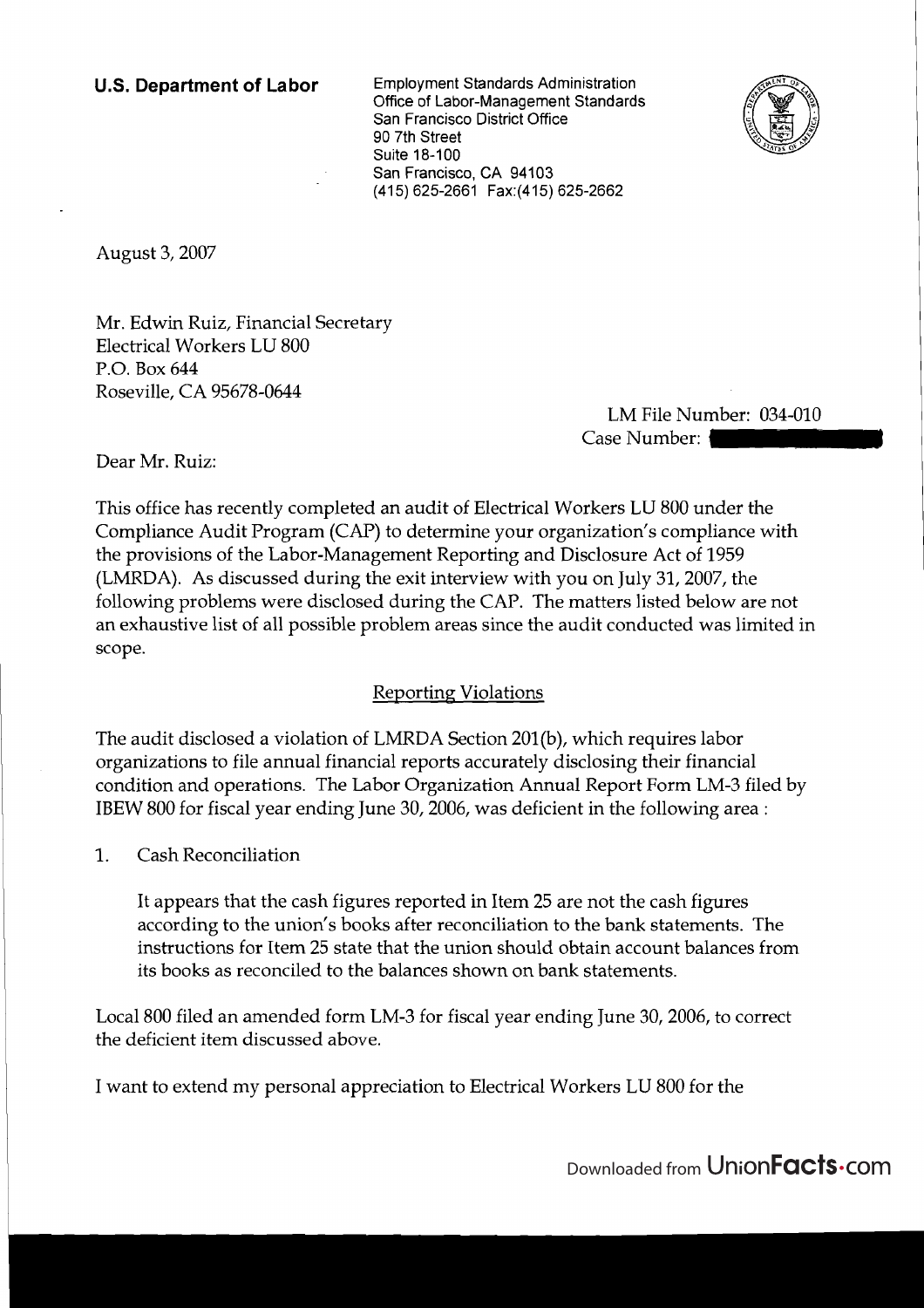**U.S. Department of Labor** Employment Standards Administration Office of Labor-Management Standards San Francisco District Office 90 7th Street Suite 18-100 San Francisco, CA 94103 (415) 625-2661 Fax:(415) 625-2662



August 3,2007

Mr. Edwin Ruiz, Financial Secretary Electrical Workers LU 800 P.O. Box 644 Roseville, CA 95678-0644

LM File Number: 034-010 Case Number: 1

Dear Mr. Ruiz:

This office has recently completed an audit of Electrical Workers LU 800 under the Compliance Audit Program (CAP) to determine your organization's compliance with the provisions of the Labor-Management Reporting and Disclosure Act of 1959 (LMRDA). As discussed during the exit interview with you on July 31,2007, the following problems were disclosed during the CAP. The matters listed below are not an exhaustive list of all possible problem areas since the audit conducted was limited in scope.

## Reporting Violations

The audit disclosed a violation of LMRDA Section 201(b), which requires labor organizations to file annual financial reports accurately disclosing their financial condition and operations. The Labor Organization Annual Report Form LM-3 filed by IBEW 800 for fiscal year ending June 30,2006, was deficient in the following area :

1. Cash Reconciliation

It appears that the cash figures reported in Item 25 are not the cash figures according to the union's books after reconciliation to the bank statements. The instructions for Item 25 state that the union should obtain account balances from its books as reconciled to the balances shown on bank statements.

Local 800 filed an amended form LM-3 for fiscal year ending June 30, 2006, to correct the deficient item discussed above.

1 I want to extend my personal appreciation to Electrical Workers LU 800 for the